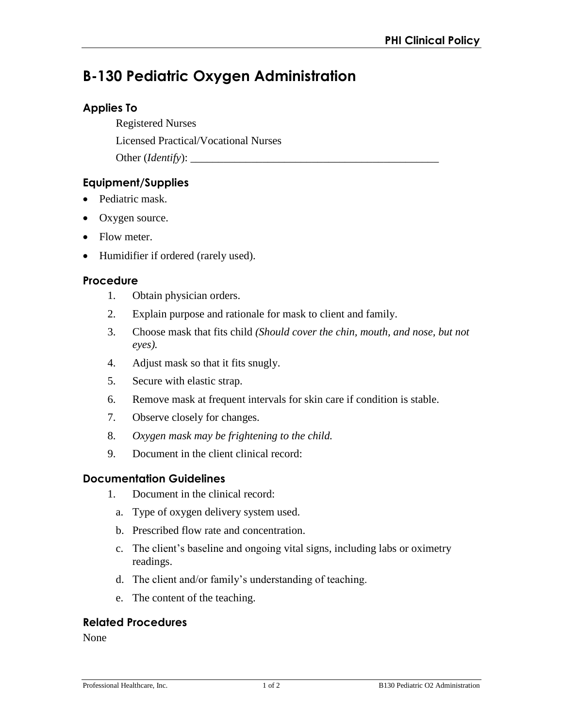# **B-130 Pediatric Oxygen Administration**

# **Applies To**

Registered Nurses

Licensed Practical/Vocational Nurses

Other (*Identify*):

# **Equipment/Supplies**

- Pediatric mask.
- Oxygen source.
- Flow meter.
- Humidifier if ordered (rarely used).

#### **Procedure**

- 1. Obtain physician orders.
- 2. Explain purpose and rationale for mask to client and family.
- 3. Choose mask that fits child *(Should cover the chin, mouth, and nose, but not eyes).*
- 4. Adjust mask so that it fits snugly.
- 5. Secure with elastic strap.
- 6. Remove mask at frequent intervals for skin care if condition is stable.
- 7. Observe closely for changes.
- 8. *Oxygen mask may be frightening to the child.*
- 9. Document in the client clinical record:

## **Documentation Guidelines**

- 1. Document in the clinical record:
	- a. Type of oxygen delivery system used.
	- b. Prescribed flow rate and concentration.
	- c. The client's baseline and ongoing vital signs, including labs or oximetry readings.
	- d. The client and/or family's understanding of teaching.
	- e. The content of the teaching.

## **Related Procedures**

None